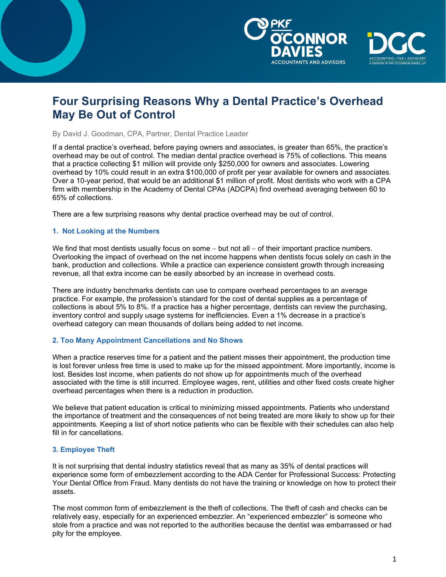



# **Four Surprising Reasons Why a Dental Practice's Overhead May Be Out of Control**

By David J. Goodman, CPA, Partner, Dental Practice Leader

If a dental practice's overhead, before paying owners and associates, is greater than 65%, the practice's overhead may be out of control. The median dental practice overhead is 75% of collections. This means that a practice collecting \$1 million will provide only \$250,000 for owners and associates. Lowering overhead by 10% could result in an extra \$100,000 of profit per year available for owners and associates. Over a 10-year period, that would be an additional \$1 million of profit. Most dentists who work with a CPA firm with membership in the Academy of Dental CPAs (ADCPA) find overhead averaging between 60 to 65% of collections.

There are a few surprising reasons why dental practice overhead may be out of control.

#### **1. Not Looking at the Numbers**

We find that most dentists usually focus on some – but not all – of their important practice numbers. Overlooking the impact of overhead on the net income happens when dentists focus solely on cash in the bank, production and collections. While a practice can experience consistent growth through increasing revenue, all that extra income can be easily absorbed by an increase in overhead costs.

There are industry benchmarks dentists can use to compare overhead percentages to an average practice. For example, the profession's standard for the cost of dental supplies as a percentage of collections is about 5% to 8%. If a practice has a higher percentage, dentists can review the purchasing, inventory control and supply usage systems for inefficiencies. Even a 1% decrease in a practice's overhead category can mean thousands of dollars being added to net income.

#### **2. Too Many Appointment Cancellations and No Shows**

When a practice reserves time for a patient and the patient misses their appointment, the production time is lost forever unless free time is used to make up for the missed appointment. More importantly, income is lost. Besides lost income, when patients do not show up for appointments much of the overhead associated with the time is still incurred. Employee wages, rent, utilities and other fixed costs create higher overhead percentages when there is a reduction in production.

We believe that patient education is critical to minimizing missed appointments. Patients who understand the importance of treatment and the consequences of not being treated are more likely to show up for their appointments. Keeping a list of short notice patients who can be flexible with their schedules can also help fill in for cancellations.

#### **3. Employee Theft**

It is not surprising that dental industry statistics reveal that as many as 35% of dental practices will experience some form of embezzlement according to the ADA Center for Professional Success: Protecting Your Dental Office from Fraud. Many dentists do not have the training or knowledge on how to protect their assets.

The most common form of embezzlement is the theft of collections. The theft of cash and checks can be relatively easy, especially for an experienced embezzler. An "experienced embezzler" is someone who stole from a practice and was not reported to the authorities because the dentist was embarrassed or had pity for the employee.